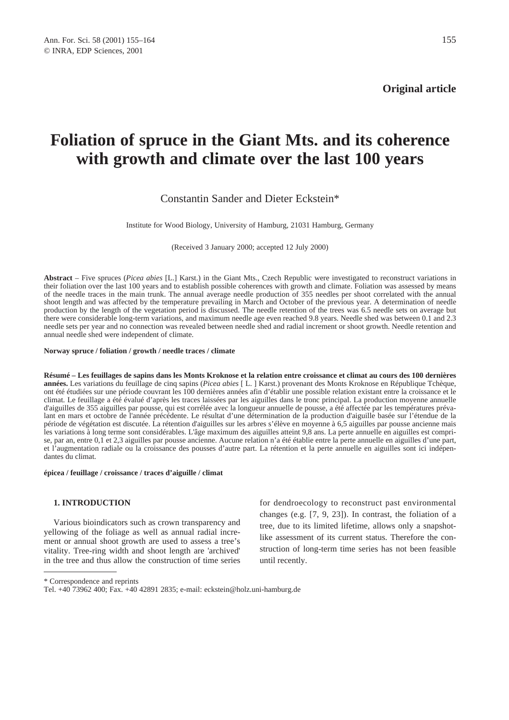# **Foliation of spruce in the Giant Mts. and its coherence with growth and climate over the last 100 years**

# Constantin Sander and Dieter Eckstein\*

Institute for Wood Biology, University of Hamburg, 21031 Hamburg, Germany

(Received 3 January 2000; accepted 12 July 2000)

**Abstract** – Five spruces (*Picea abies* [L.] Karst.) in the Giant Mts., Czech Republic were investigated to reconstruct variations in their foliation over the last 100 years and to establish possible coherences with growth and climate. Foliation was assessed by means of the needle traces in the main trunk. The annual average needle production of 355 needles per shoot correlated with the annual shoot length and was affected by the temperature prevailing in March and October of the previous year. A determination of needle production by the length of the vegetation period is discussed. The needle retention of the trees was 6.5 needle sets on average but there were considerable long-term variations, and maximum needle age even reached 9.8 years. Needle shed was between 0.1 and 2.3 needle sets per year and no connection was revealed between needle shed and radial increment or shoot growth. Needle retention and annual needle shed were independent of climate.

# **Norway spruce / foliation / growth / needle traces / climate**

**Résumé – Les feuillages de sapins dans les Monts Kroknose et la relation entre croissance et climat au cours des 100 dernières années.** Les variations du feuillage de cinq sapins (*Picea abies* [ L. ] Karst.) provenant des Monts Kroknose en République Tchèque, ont été étudiées sur une période couvrant les 100 dernières années afin d'établir une possible relation existant entre la croissance et le climat. Le feuillage a été évalué d'après les traces laissées par les aiguilles dans le tronc principal. La production moyenne annuelle d'aiguilles de 355 aiguilles par pousse, qui est corrélée avec la longueur annuelle de pousse, a été affectée par les températures prévalant en mars et octobre de l'année précédente. Le résultat d'une détermination de la production d'aiguille basée sur l'étendue de la période de végétation est discutée. La rétention d'aiguilles sur les arbres s'élève en moyenne à 6,5 aiguilles par pousse ancienne mais les variations à long terme sont considérables. L'âge maximum des aiguilles atteint 9,8 ans. La perte annuelle en aiguilles est comprise, par an, entre 0,1 et 2,3 aiguilles par pousse ancienne. Aucune relation n'a été établie entre la perte annuelle en aiguilles d'une part, et l'augmentation radiale ou la croissance des pousses d'autre part. La rétention et la perte annuelle en aiguilles sont ici indépendantes du climat.

## **épicea / feuillage / croissance / traces d'aiguille / climat**

# **1. INTRODUCTION**

Various bioindicators such as crown transparency and yellowing of the foliage as well as annual radial increment or annual shoot growth are used to assess a tree's vitality. Tree-ring width and shoot length are 'archived' in the tree and thus allow the construction of time series for dendroecology to reconstruct past environmental changes (e.g. [7, 9, 23]). In contrast, the foliation of a tree, due to its limited lifetime, allows only a snapshotlike assessment of its current status. Therefore the construction of long-term time series has not been feasible until recently.

\* Correspondence and reprints

Tel. +40 73962 400; Fax. +40 42891 2835; e-mail: eckstein@holz.uni-hamburg.de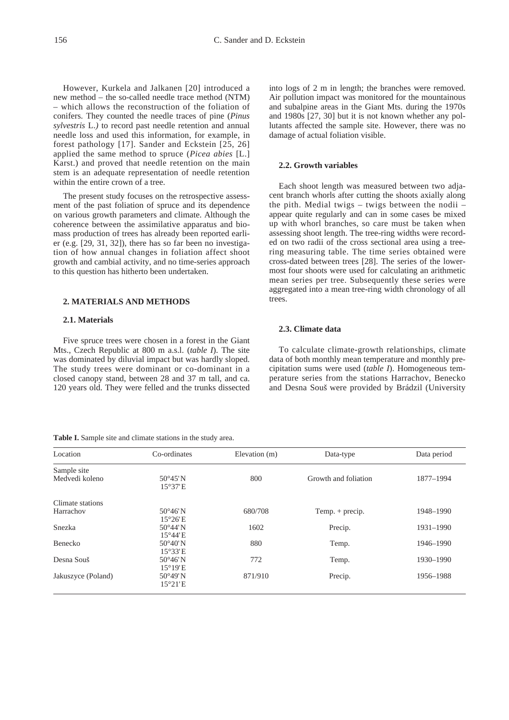However, Kurkela and Jalkanen [20] introduced a new method – the so-called needle trace method (NTM) – which allows the reconstruction of the foliation of conifers. They counted the needle traces of pine (*Pinus sylvestris* L.*)* to record past needle retention and annual needle loss and used this information, for example, in forest pathology [17]. Sander and Eckstein [25, 26] applied the same method to spruce (*Picea abies* [L.] Karst.) and proved that needle retention on the main stem is an adequate representation of needle retention within the entire crown of a tree.

The present study focuses on the retrospective assessment of the past foliation of spruce and its dependence on various growth parameters and climate. Although the coherence between the assimilative apparatus and biomass production of trees has already been reported earlier (e.g. [29, 31, 32]), there has so far been no investigation of how annual changes in foliation affect shoot growth and cambial activity, and no time-series approach to this question has hitherto been undertaken.

# **2. MATERIALS AND METHODS**

# **2.1. Materials**

Five spruce trees were chosen in a forest in the Giant Mts., Czech Republic at 800 m a.s.l. (*table I*). The site was dominated by diluvial impact but was hardly sloped. The study trees were dominant or co-dominant in a closed canopy stand, between 28 and 37 m tall, and ca. 120 years old. They were felled and the trunks dissected

**Table I.** Sample site and climate stations in the study area.

into logs of 2 m in length; the branches were removed. Air pollution impact was monitored for the mountainous and subalpine areas in the Giant Mts. during the 1970s and 1980s [27, 30] but it is not known whether any pollutants affected the sample site. However, there was no damage of actual foliation visible.

## **2.2. Growth variables**

Each shoot length was measured between two adjacent branch whorls after cutting the shoots axially along the pith. Medial twigs – twigs between the nodii – appear quite regularly and can in some cases be mixed up with whorl branches, so care must be taken when assessing shoot length. The tree-ring widths were recorded on two radii of the cross sectional area using a treering measuring table. The time series obtained were cross-dated between trees [28]. The series of the lowermost four shoots were used for calculating an arithmetic mean series per tree. Subsequently these series were aggregated into a mean tree-ring width chronology of all trees.

## **2.3. Climate data**

To calculate climate-growth relationships, climate data of both monthly mean temperature and monthly precipitation sums were used (*table I*). Homogeneous temperature series from the stations Harrachov, Benecko and Desna Souš were provided by Brádzil (University

| Location           | Co-ordinates      | Elevation (m) | Data-type            | Data period |  |
|--------------------|-------------------|---------------|----------------------|-------------|--|
| Sample site        |                   |               |                      |             |  |
| Medvedi koleno     | $50^{\circ}45'$ N | 800           | Growth and foliation | 1877-1994   |  |
|                    | 15°37'E           |               |                      |             |  |
| Climate stations   |                   |               |                      |             |  |
| Harrachov          | $50^{\circ}46'$ N | 680/708       | Temp. $+$ precip.    | 1948-1990   |  |
|                    | $15^{\circ}26'E$  |               |                      |             |  |
| Snezka             | $50^{\circ}44'$ N | 1602          | Precip.              | 1931-1990   |  |
|                    | $15^{\circ}44'$ E |               |                      |             |  |
| Benecko            | $50^{\circ}40'$ N | 880           | Temp.                | 1946-1990   |  |
|                    | 15°33'E           |               |                      |             |  |
| Desna Souš         | $50^{\circ}46'$ N | 772           | Temp.                | 1930-1990   |  |
|                    | $15^{\circ}19'E$  |               |                      |             |  |
| Jakuszyce (Poland) | $50^{\circ}49'$ N | 871/910       | Precip.              | 1956-1988   |  |
|                    | $15^{\circ}21'E$  |               |                      |             |  |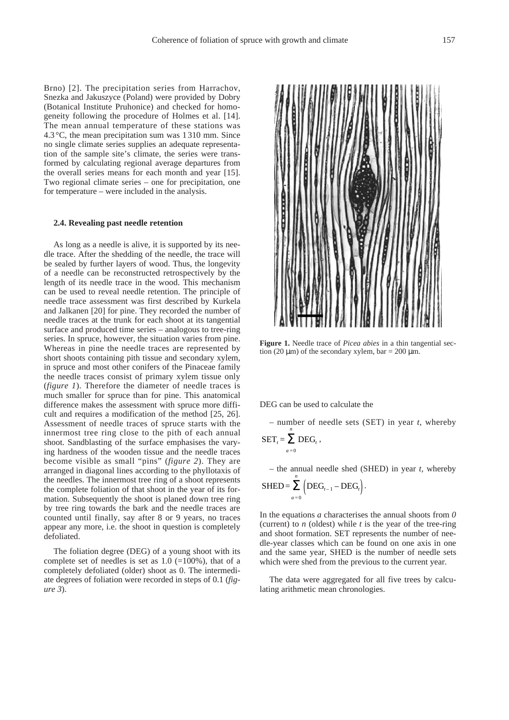Brno) [2]. The precipitation series from Harrachov, Snezka and Jakuszyce (Poland) were provided by Dobry (Botanical Institute Pruhonice) and checked for homogeneity following the procedure of Holmes et al. [14]. The mean annual temperature of these stations was 4.3 °C, the mean precipitation sum was 1 310 mm. Since no single climate series supplies an adequate representation of the sample site's climate, the series were transformed by calculating regional average departures from the overall series means for each month and year [15]. Two regional climate series – one for precipitation, one for temperature – were included in the analysis.

# **2.4. Revealing past needle retention**

As long as a needle is alive, it is supported by its needle trace. After the shedding of the needle, the trace will be sealed by further layers of wood. Thus, the longevity of a needle can be reconstructed retrospectively by the length of its needle trace in the wood. This mechanism can be used to reveal needle retention. The principle of needle trace assessment was first described by Kurkela and Jalkanen [20] for pine. They recorded the number of needle traces at the trunk for each shoot at its tangential surface and produced time series – analogous to tree-ring series. In spruce, however, the situation varies from pine. Whereas in pine the needle traces are represented by short shoots containing pith tissue and secondary xylem, in spruce and most other conifers of the Pinaceae family the needle traces consist of primary xylem tissue only (*figure 1*). Therefore the diameter of needle traces is much smaller for spruce than for pine. This anatomical difference makes the assessment with spruce more difficult and requires a modification of the method [25, 26]. Assessment of needle traces of spruce starts with the innermost tree ring close to the pith of each annual shoot. Sandblasting of the surface emphasises the varying hardness of the wooden tissue and the needle traces become visible as small "pins" (*figure 2*). They are arranged in diagonal lines according to the phyllotaxis of the needles. The innermost tree ring of a shoot represents the complete foliation of that shoot in the year of its formation. Subsequently the shoot is planed down tree ring by tree ring towards the bark and the needle traces are counted until finally, say after 8 or 9 years, no traces appear any more, i.e. the shoot in question is completely defoliated.

The foliation degree (DEG) of a young shoot with its complete set of needles is set as  $1.0$  (=100%), that of a completely defoliated (older) shoot as 0. The intermediate degrees of foliation were recorded in steps of 0.1 (*figure 3*).



**Figure 1.** Needle trace of *Picea abies* in a thin tangential section (20  $\mu$ m) of the secondary xylem, bar = 200  $\mu$ m.

DEG can be used to calculate the

– number of needle sets (SET) in year *t*, whereby  $\text{SET}_t = \sum^n \text{DEG}_t$ ,

– the annual needle shed (SHED) in year 
$$
t
$$
, whereby

$$
SHED = \sum_{a=0} \left( DEG_{t-1} - DEG_t \right).
$$

*n*

*a* = 0

In the equations *a* characterises the annual shoots from *0* (current) to *n* (oldest) while *t* is the year of the tree-ring and shoot formation. SET represents the number of needle-year classes which can be found on one axis in one and the same year, SHED is the number of needle sets which were shed from the previous to the current year.

The data were aggregated for all five trees by calculating arithmetic mean chronologies.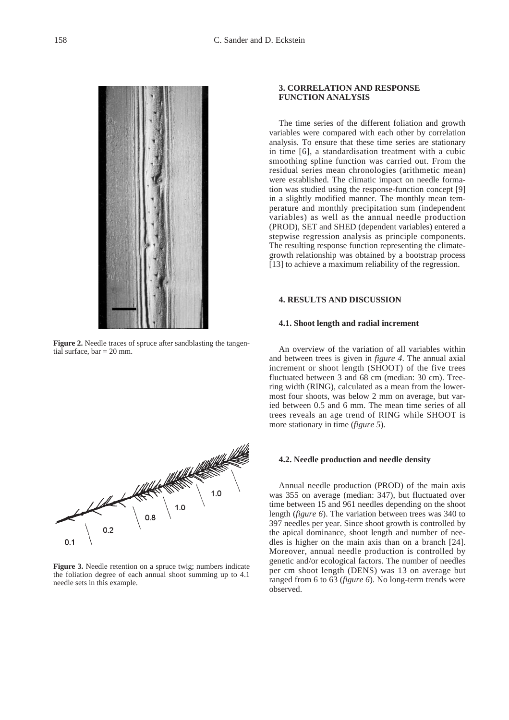

**Figure 2.** Needle traces of spruce after sandblasting the tangential surface,  $bar = 20$  mm.



**Figure 3.** Needle retention on a spruce twig; numbers indicate the foliation degree of each annual shoot summing up to 4.1 needle sets in this example.

# **3. CORRELATION AND RESPONSE FUNCTION ANALYSIS**

The time series of the different foliation and growth variables were compared with each other by correlation analysis. To ensure that these time series are stationary in time [6], a standardisation treatment with a cubic smoothing spline function was carried out. From the residual series mean chronologies (arithmetic mean) were established. The climatic impact on needle formation was studied using the response-function concept [9] in a slightly modified manner. The monthly mean temperature and monthly precipitation sum (independent variables) as well as the annual needle production (PROD), SET and SHED (dependent variables) entered a stepwise regression analysis as principle components. The resulting response function representing the climategrowth relationship was obtained by a bootstrap process [13] to achieve a maximum reliability of the regression.

# **4. RESULTS AND DISCUSSION**

# **4.1. Shoot length and radial increment**

An overview of the variation of all variables within and between trees is given in *figure 4*. The annual axial increment or shoot length (SHOOT) of the five trees fluctuated between 3 and 68 cm (median: 30 cm). Treering width (RING), calculated as a mean from the lowermost four shoots, was below 2 mm on average, but varied between 0.5 and 6 mm. The mean time series of all trees reveals an age trend of RING while SHOOT is more stationary in time (*figure 5*).

### **4.2. Needle production and needle density**

Annual needle production (PROD) of the main axis was 355 on average (median: 347), but fluctuated over time between 15 and 961 needles depending on the shoot length (*figure 6*). The variation between trees was 340 to 397 needles per year. Since shoot growth is controlled by the apical dominance, shoot length and number of needles is higher on the main axis than on a branch [24]. Moreover, annual needle production is controlled by genetic and/or ecological factors. The number of needles per cm shoot length (DENS) was 13 on average but ranged from 6 to 63 (*figure 6*). No long-term trends were observed.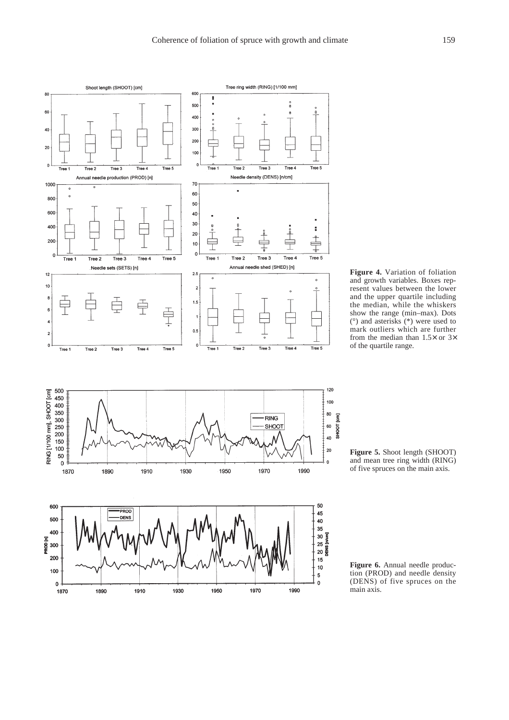

**Figure 4.** Variation of foliation and growth variables. Boxes represent values between the lower and the upper quartile including the median, while the whiskers show the range (min–max). Dots (°) and asterisks (\*) were used to mark outliers which are further from the median than  $1.5\times$  or  $3\times$ of the quartile range.

**Figure 5.** Shoot length (SHOOT) and mean tree ring width (RING) of five spruces on the main axis.

**Figure 6.** Annual needle production (PROD) and needle density (DENS) of five spruces on the main axis.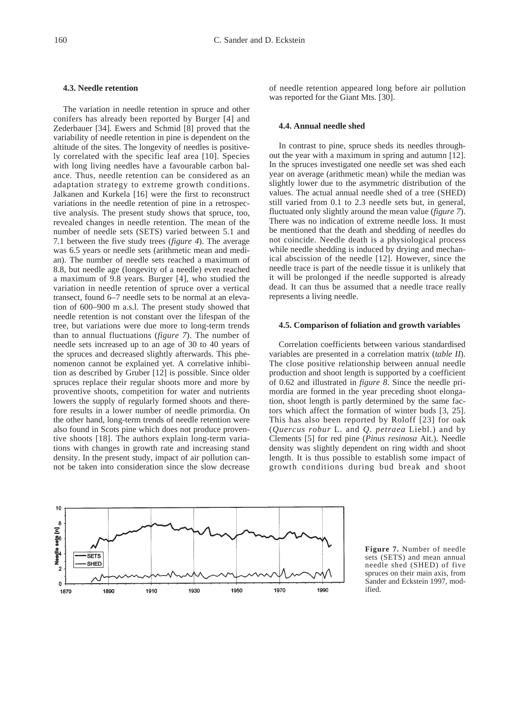## **4.3. Needle retention**

The variation in needle retention in spruce and other conifers has already been reported by Burger [4] and Zederbauer [34]. Ewers and Schmid [8] proved that the variability of needle retention in pine is dependent on the altitude of the sites. The longevity of needles is positively correlated with the specific leaf area [10]. Species with long living needles have a favourable carbon balance. Thus, needle retention can be considered as an adaptation strategy to extreme growth conditions. Jalkanen and Kurkela [16] were the first to reconstruct variations in the needle retention of pine in a retrospective analysis. The present study shows that spruce, too, revealed changes in needle retention. The mean of the number of needle sets (SETS) varied between 5.1 and 7.1 between the five study trees (*figure 4*). The average was 6.5 years or needle sets (arithmetic mean and median). The number of needle sets reached a maximum of 8.8, but needle age (longevity of a needle) even reached a maximum of 9.8 years. Burger [4], who studied the variation in needle retention of spruce over a vertical transect, found 6–7 needle sets to be normal at an elevation of 600–900 m a.s.l. The present study showed that needle retention is not constant over the lifespan of the tree, but variations were due more to long-term trends than to annual fluctuations (*figure 7*). The number of needle sets increased up to an age of 30 to 40 years of the spruces and decreased slightly afterwards. This phenomenon cannot be explained yet. A correlative inhibition as described by Gruber [12] is possible. Since older spruces replace their regular shoots more and more by proventive shoots, competition for water and nutrients lowers the supply of regularly formed shoots and therefore results in a lower number of needle primordia. On the other hand, long-term trends of needle retention were also found in Scots pine which does not produce proventive shoots [18]. The authors explain long-term variations with changes in growth rate and increasing stand density. In the present study, impact of air pollution cannot be taken into consideration since the slow decrease of needle retention appeared long before air pollution was reported for the Giant Mts. [30].

## **4.4. Annual needle shed**

In contrast to pine, spruce sheds its needles throughout the year with a maximum in spring and autumn [12]. In the spruces investigated one needle set was shed each year on average (arithmetic mean) while the median was slightly lower due to the asymmetric distribution of the values. The actual annual needle shed of a tree (SHED) still varied from 0.1 to 2.3 needle sets but, in general, fluctuated only slightly around the mean value (*figure 7*). There was no indication of extreme needle loss. It must be mentioned that the death and shedding of needles do not coincide. Needle death is a physiological process while needle shedding is induced by drying and mechanical abscission of the needle [12]. However, since the needle trace is part of the needle tissue it is unlikely that it will be prolonged if the needle supported is already dead. It can thus be assumed that a needle trace really represents a living needle.

#### **4.5. Comparison of foliation and growth variables**

Correlation coefficients between various standardised variables are presented in a correlation matrix (*table II*). The close positive relationship between annual needle production and shoot length is supported by a coefficient of 0.62 and illustrated in *figure 8*. Since the needle primordia are formed in the year preceding shoot elongation, shoot length is partly determined by the same factors which affect the formation of winter buds [3, 25]. This has also been reported by Roloff [23] for oak (*Quercus robur* L. and *Q. petraea* Liebl.) and by Clements [5] for red pine (*Pinus resinosa* Ait.). Needle density was slightly dependent on ring width and shoot length. It is thus possible to establish some impact of growth conditions during bud break and shoot



**Figure 7.** Number of needle sets (SETS) and mean annual needle shed (SHED) of five spruces on their main axis, from Sander and Eckstein 1997, modified.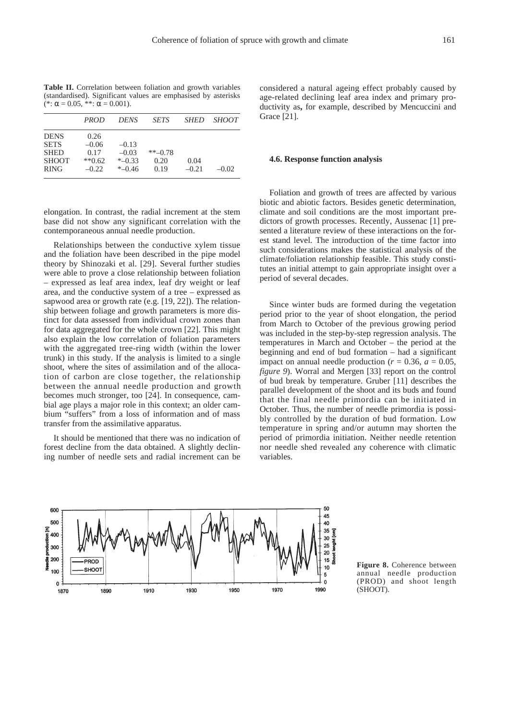**Table II.** Correlation between foliation and growth variables (standardised). Significant values are emphasised by asterisks (\*:  $\alpha$  = 0.05, \*\*:  $\alpha$  = 0.001).

|              | <i>PROD</i> | DENS      | <b>SETS</b> | <b>SHED</b> | <i>SHOOT</i> |
|--------------|-------------|-----------|-------------|-------------|--------------|
| <b>DENS</b>  | 0.26        |           |             |             |              |
| <b>SETS</b>  | $-0.06$     | $-0.13$   |             |             |              |
| <b>SHED</b>  | 0.17        | $-0.03$   | $*$ $-0.78$ |             |              |
| <b>SHOOT</b> | $**0.62$    | $*$ -0.33 | 0.20        | 0.04        |              |
| <b>RING</b>  | $-0.22$     | $*$ -0.46 | 0.19        | $-0.21$     | $-0.02$      |

elongation. In contrast, the radial increment at the stem base did not show any significant correlation with the contemporaneous annual needle production.

Relationships between the conductive xylem tissue and the foliation have been described in the pipe model theory by Shinozaki et al. [29]. Several further studies were able to prove a close relationship between foliation – expressed as leaf area index, leaf dry weight or leaf area, and the conductive system of a tree – expressed as sapwood area or growth rate (e.g. [19, 22]). The relationship between foliage and growth parameters is more distinct for data assessed from individual crown zones than for data aggregated for the whole crown [22]. This might also explain the low correlation of foliation parameters with the aggregated tree-ring width (within the lower trunk) in this study. If the analysis is limited to a single shoot, where the sites of assimilation and of the allocation of carbon are close together, the relationship between the annual needle production and growth becomes much stronger, too [24]. In consequence, cambial age plays a major role in this context; an older cambium "suffers" from a loss of information and of mass transfer from the assimilative apparatus.

It should be mentioned that there was no indication of forest decline from the data obtained. A slightly declining number of needle sets and radial increment can be

considered a natural ageing effect probably caused by age-related declining leaf area index and primary productivity as**,** for example, described by Mencuccini and Grace [21].

#### **4.6. Response function analysis**

Foliation and growth of trees are affected by various biotic and abiotic factors. Besides genetic determination, climate and soil conditions are the most important predictors of growth processes. Recently, Aussenac [1] presented a literature review of these interactions on the forest stand level. The introduction of the time factor into such considerations makes the statistical analysis of the climate/foliation relationship feasible. This study constitutes an initial attempt to gain appropriate insight over a period of several decades.

Since winter buds are formed during the vegetation period prior to the year of shoot elongation, the period from March to October of the previous growing period was included in the step-by-step regression analysis. The temperatures in March and October – the period at the beginning and end of bud formation – had a significant impact on annual needle production ( $r = 0.36$ ,  $a = 0.05$ , *figure 9*). Worral and Mergen [33] report on the control of bud break by temperature. Gruber [11] describes the parallel development of the shoot and its buds and found that the final needle primordia can be initiated in October. Thus, the number of needle primordia is possibly controlled by the duration of bud formation. Low temperature in spring and/or autumn may shorten the period of primordia initiation. Neither needle retention nor needle shed revealed any coherence with climatic variables.



**Figure 8.** Coherence between annual needle production (PROD) and shoot length (SHOOT).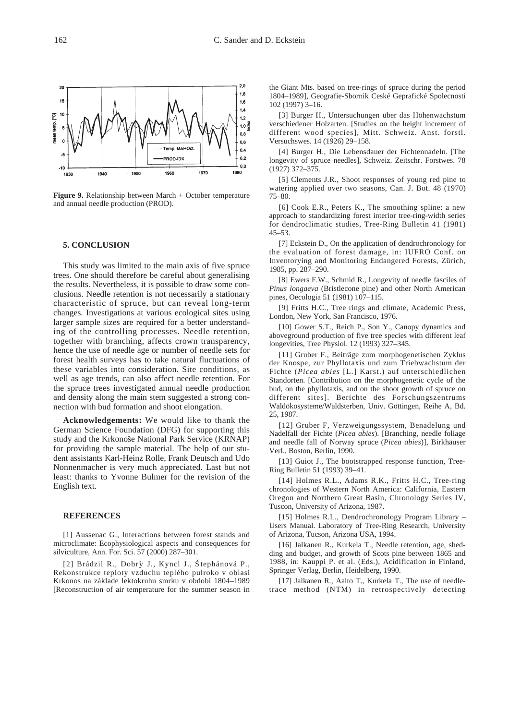

**Figure 9.** Relationship between March + October temperature and annual needle production (PROD).

## **5. CONCLUSION**

This study was limited to the main axis of five spruce trees. One should therefore be careful about generalising the results. Nevertheless, it is possible to draw some conclusions. Needle retention is not necessarily a stationary characteristic of spruce, but can reveal long-term changes. Investigations at various ecological sites using larger sample sizes are required for a better understanding of the controlling processes. Needle retention, together with branching, affects crown transparency, hence the use of needle age or number of needle sets for forest health surveys has to take natural fluctuations of these variables into consideration. Site conditions, as well as age trends, can also affect needle retention. For the spruce trees investigated annual needle production and density along the main stem suggested a strong connection with bud formation and shoot elongation.

**Acknowledgements:** We would like to thank the German Science Foundation (DFG) for supporting this study and the Krkonoše National Park Service (KRNAP) for providing the sample material. The help of our student assistants Karl-Heinz Rolle, Frank Deutsch and Udo Nonnenmacher is very much appreciated. Last but not least: thanks to Yvonne Bulmer for the revision of the English text.

### **REFERENCES**

[1] Aussenac G., Interactions between forest stands and microclimate: Ecophysiological aspects and consequences for silviculture, Ann. For. Sci. 57 (2000) 287–301.

[2] Brádzil R., Dobrý J., Kyncl J., Štephánová P., Rekonstrukce teploty vzduchu teplého pulroko v oblasi Krkonos na základe lektokruhu smrku v obdobi 1804–1989 [Reconstruction of air temperature for the summer season in the Giant Mts. based on tree-rings of spruce during the period 1804–1989], Geografie-Sbornik Ceské Geprafické Spolecnosti 102 (1997) 3–16.

[3] Burger H., Untersuchungen über das Höhenwachstum verschiedener Holzarten. [Studies on the height increment of different wood species], Mitt. Schweiz. Anst. forstl. Versuchswes. 14 (1926) 29–158.

[4] Burger H., Die Lebensdauer der Fichtennadeln. [The longevity of spruce needles], Schweiz. Zeitschr. Forstwes. 78 (1927) 372–375*.*

[5] Clements J.R., Shoot responses of young red pine to watering applied over two seasons, Can. J. Bot. 48 (1970) 75–80.

[6] Cook E.R., Peters K., The smoothing spline: a new approach to standardizing forest interior tree-ring-width series for dendroclimatic studies, Tree-Ring Bulletin 41 (1981) 45–53.

[7] Eckstein D., On the application of dendrochronology for the evaluation of forest damage, in: IUFRO Conf. on Inventorying and Monitoring Endangered Forests, Zürich, 1985, pp. 287–290.

[8] Ewers F.W., Schmid R., Longevity of needle fasciles of *Pinus longaeva* (Bristlecone pine) and other North American pines, Oecologia 51 (1981) 107–115.

[9] Fritts H.C., Tree rings and climate, Academic Press, London, New York, San Francisco, 1976.

[10] Gower S.T., Reich P., Son Y., Canopy dynamics and aboveground production of five tree species with different leaf longevities, Tree Physiol. 12 (1993) 327–345.

[11] Gruber F., Beiträge zum morphogenetischen Zyklus der Knospe, zur Phyllotaxis und zum Triebwachstum der Fichte (*Picea abies* [L.] Karst.) auf unterschiedlichen Standorten. [Contribution on the morphogenetic cycle of the bud, on the phyllotaxis, and on the shoot growth of spruce on different sites]. Berichte des Forschungszentrums Waldökosysteme/Waldsterben, Univ. Göttingen, Reihe A, Bd. 25, 1987.

[12] Gruber F, Verzweigungssystem, Benadelung und Nadelfall der Fichte (*Picea abies*). [Branching, needle foliage and needle fall of Norway spruce (*Picea abies*)], Birkhäuser Verl., Boston, Berlin, 1990.

[13] Guiot J., The bootstrapped response function, Tree-Ring Bulletin 51 (1993) 39–41.

[14] Holmes R.L., Adams R.K., Fritts H.C., Tree-ring chronologies of Western North America: California, Eastern Oregon and Northern Great Basin, Chronology Series IV, Tuscon, University of Arizona, 1987.

[15] Holmes R.L., Dendrochronology Program Library – Users Manual. Laboratory of Tree-Ring Research, University of Arizona, Tucson, Arizona USA, 1994.

[16] Jalkanen R., Kurkela T., Needle retention, age, shedding and budget, and growth of Scots pine between 1865 and 1988, in: Kauppi P. et al. (Eds.), Acidification in Finland, Springer Verlag, Berlin, Heidelberg, 1990.

[17] Jalkanen R., Aalto T., Kurkela T., The use of needletrace method (NTM) in retrospectively detecting